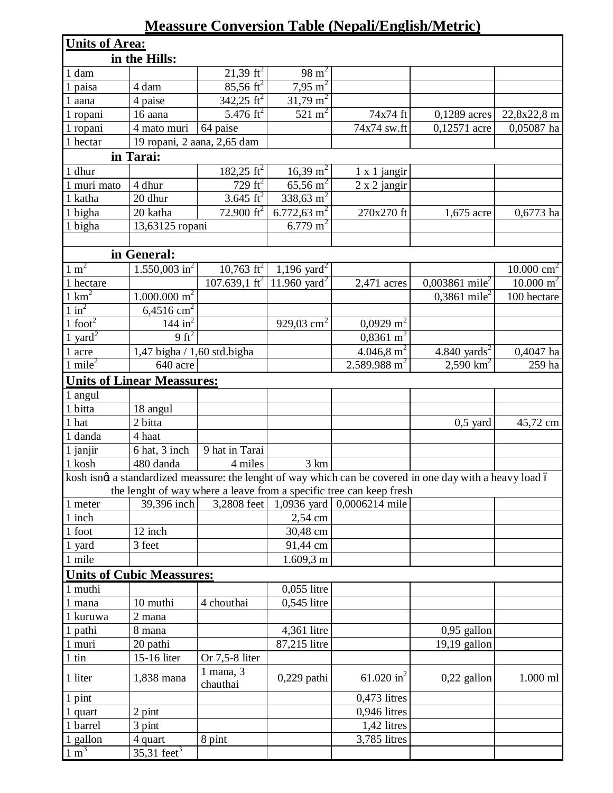## **Meassure Conversion Table (Nepali/English/Metric)**

| <b>Units of Area:</b>  |                                   |                                |                              |                                                                     |                                                                                                           |                      |  |  |  |  |  |  |
|------------------------|-----------------------------------|--------------------------------|------------------------------|---------------------------------------------------------------------|-----------------------------------------------------------------------------------------------------------|----------------------|--|--|--|--|--|--|
| in the Hills:          |                                   |                                |                              |                                                                     |                                                                                                           |                      |  |  |  |  |  |  |
| 1 dam                  |                                   | 21,39 $\text{ft}^2$            | $98 \text{ m}^2$             |                                                                     |                                                                                                           |                      |  |  |  |  |  |  |
| 1 paisa                | 4 dam                             | $\frac{85,56 \text{ ft}^2}{ }$ | $\frac{7,95 \text{ m}^2}{2}$ |                                                                     |                                                                                                           |                      |  |  |  |  |  |  |
| 1 aana                 | 4 paise                           | $342,25 \text{ ft}^2$          | $\frac{31,79}{m^2}$          |                                                                     |                                                                                                           |                      |  |  |  |  |  |  |
| 1 ropani               | 16 aana                           | 5.476 $\mathrm{ft}^2$          | $521 \text{ m}^2$            | 74x74 ft                                                            | 0,1289 acres                                                                                              | 22,8x22,8 m          |  |  |  |  |  |  |
| 1 ropani               | 4 mato muri                       | 64 paise                       |                              | 74x74 sw.ft                                                         | 0,12571 acre                                                                                              | 0,05087 ha           |  |  |  |  |  |  |
| 1 hectar               | 19 ropani, 2 aana, 2,65 dam       |                                |                              |                                                                     |                                                                                                           |                      |  |  |  |  |  |  |
| in Tarai:              |                                   |                                |                              |                                                                     |                                                                                                           |                      |  |  |  |  |  |  |
| 1 dhur                 |                                   | $182,25 \text{ ft}^2$          | $16,39 \text{ m}^2$          | $1 \times 1$ jangir                                                 |                                                                                                           |                      |  |  |  |  |  |  |
| 1 muri mato            | 4 dhur                            | $729 \text{ ft}^2$             | $65,56 \text{ m}^2$          | $2 \times 2$ jangir                                                 |                                                                                                           |                      |  |  |  |  |  |  |
| 1 katha                | 20 dhur                           | 3.645 ft <sup>2</sup>          | 338,63 $\overline{m^2}$      |                                                                     |                                                                                                           |                      |  |  |  |  |  |  |
| 1 bigha                | 20 katha                          | 72.900 $\mathrm{ft}^2$         | 6.772,63 m <sup>2</sup>      | 270x270 ft                                                          | 1,675 acre                                                                                                | $0,6773$ ha          |  |  |  |  |  |  |
| 1 bigha                | 13,63125 ropani                   |                                | 6.779 m <sup>2</sup>         |                                                                     |                                                                                                           |                      |  |  |  |  |  |  |
|                        |                                   |                                |                              |                                                                     |                                                                                                           |                      |  |  |  |  |  |  |
|                        | in General:                       |                                |                              |                                                                     |                                                                                                           |                      |  |  |  |  |  |  |
| $1 \text{ m}^2$        | $1.550,003 \text{ in}^2$          | $10,763$ ft <sup>2</sup>       | 1,196 yard <sup>2</sup>      |                                                                     |                                                                                                           | 10.000 $cm^2$        |  |  |  |  |  |  |
| 1 hectare              |                                   | 107.639,1 ft <sup>2</sup>      | 11.960 yard <sup>2</sup>     | $2,471$ acres                                                       | 0,003861 mile <sup>2</sup>                                                                                | $10.000 \text{ m}^2$ |  |  |  |  |  |  |
| $1 \text{ km}^2$       | $1.000.000$ m <sup>2</sup>        |                                |                              |                                                                     | 0,3861 mile <sup>2</sup>                                                                                  | 100 hectare          |  |  |  |  |  |  |
| $1 \text{ in}^2$       | $6,4516$ cm <sup>2</sup>          |                                |                              |                                                                     |                                                                                                           |                      |  |  |  |  |  |  |
| $1$ foot <sup>2</sup>  | 144 in $^2$                       |                                | 929,03 cm <sup>2</sup>       | $0,0929 \text{ m}^2$                                                |                                                                                                           |                      |  |  |  |  |  |  |
| $1 \overline{ yard}^2$ | 9 ft <sup>2</sup>                 |                                |                              | $0,8361 \text{ m}^2$                                                |                                                                                                           |                      |  |  |  |  |  |  |
| 1 acre                 | 1,47 bigha / 1,60 std.bigha       |                                |                              | 4.046,8 m <sup>2</sup>                                              | 4.840 yards <sup>2</sup>                                                                                  | 0,4047 ha            |  |  |  |  |  |  |
| $1$ mile <sup>2</sup>  | 640 acre                          |                                |                              | 2.589.988 m <sup>2</sup>                                            | 2,590 $km^2$                                                                                              | 259 ha               |  |  |  |  |  |  |
|                        | <b>Units of Linear Meassures:</b> |                                |                              |                                                                     |                                                                                                           |                      |  |  |  |  |  |  |
| 1 angul                |                                   |                                |                              |                                                                     |                                                                                                           |                      |  |  |  |  |  |  |
| 1 bitta                | 18 angul                          |                                |                              |                                                                     |                                                                                                           |                      |  |  |  |  |  |  |
| 1 hat                  | 2 bitta                           |                                |                              |                                                                     | $0,5$ yard                                                                                                | 45,72 cm             |  |  |  |  |  |  |
| 1 danda                | 4 haat                            |                                |                              |                                                                     |                                                                                                           |                      |  |  |  |  |  |  |
| 1 janjir               | 6 hat, 3 inch                     | 9 hat in Tarai                 |                              |                                                                     |                                                                                                           |                      |  |  |  |  |  |  |
| 1 kosh                 | 480 danda                         | 4 miles                        | 3 km                         |                                                                     |                                                                                                           |                      |  |  |  |  |  |  |
|                        |                                   |                                |                              |                                                                     | kosh isnøt a standardized meassure: the lenght of way which can be covered in one day with a heavy load ó |                      |  |  |  |  |  |  |
|                        |                                   |                                |                              | the lenght of way where a leave from a specific tree can keep fresh |                                                                                                           |                      |  |  |  |  |  |  |
| 1 meter                | 39,396 inch                       | 3,2808 feet                    | 1,0936 yard                  | 0,0006214 mile                                                      |                                                                                                           |                      |  |  |  |  |  |  |
| 1 inch                 |                                   |                                | 2,54 cm                      |                                                                     |                                                                                                           |                      |  |  |  |  |  |  |
| 1 foot                 | 12 inch                           |                                | 30,48 cm                     |                                                                     |                                                                                                           |                      |  |  |  |  |  |  |
| 1 yard                 | 3 feet                            |                                | 91,44 cm                     |                                                                     |                                                                                                           |                      |  |  |  |  |  |  |
| 1 mile                 |                                   |                                | $1.609, 3 \text{ m}$         |                                                                     |                                                                                                           |                      |  |  |  |  |  |  |
|                        | <b>Units of Cubic Meassures:</b>  |                                |                              |                                                                     |                                                                                                           |                      |  |  |  |  |  |  |
| 1 muthi                |                                   |                                | 0,055 litre                  |                                                                     |                                                                                                           |                      |  |  |  |  |  |  |
| 1 mana                 | 10 muthi                          | 4 chouthai                     | 0,545 litre                  |                                                                     |                                                                                                           |                      |  |  |  |  |  |  |
| 1 kuruwa               | 2 mana                            |                                |                              |                                                                     |                                                                                                           |                      |  |  |  |  |  |  |
| 1 pathi                | 8 mana                            |                                | 4,361 litre                  |                                                                     | $0,95$ gallon                                                                                             |                      |  |  |  |  |  |  |
| 1 muri                 | 20 pathi                          |                                | 87,215 litre                 |                                                                     | $19,19$ gallon                                                                                            |                      |  |  |  |  |  |  |
| $1$ tin                | 15-16 liter                       | Or 7,5-8 liter                 |                              |                                                                     |                                                                                                           |                      |  |  |  |  |  |  |
| 1 liter                | 1,838 mana                        | $1$ mana, $3$<br>chauthai      | $0,229$ pathi                | 61.020 in <sup>2</sup>                                              | $0,22$ gallon                                                                                             | $1.000$ ml           |  |  |  |  |  |  |
| 1 pint                 |                                   |                                |                              | $0,473$ litres                                                      |                                                                                                           |                      |  |  |  |  |  |  |
| 1 quart                | 2 pint                            |                                |                              | $0,946$ litres                                                      |                                                                                                           |                      |  |  |  |  |  |  |
| 1 barrel               | 3 pint                            |                                |                              | 1,42 litres                                                         |                                                                                                           |                      |  |  |  |  |  |  |
| 1 gallon               | 4 quart                           | 8 pint                         |                              | 3,785 litres                                                        |                                                                                                           |                      |  |  |  |  |  |  |
| $1 \text{ m}^3$        | 35,31 feet <sup>3</sup>           |                                |                              |                                                                     |                                                                                                           |                      |  |  |  |  |  |  |